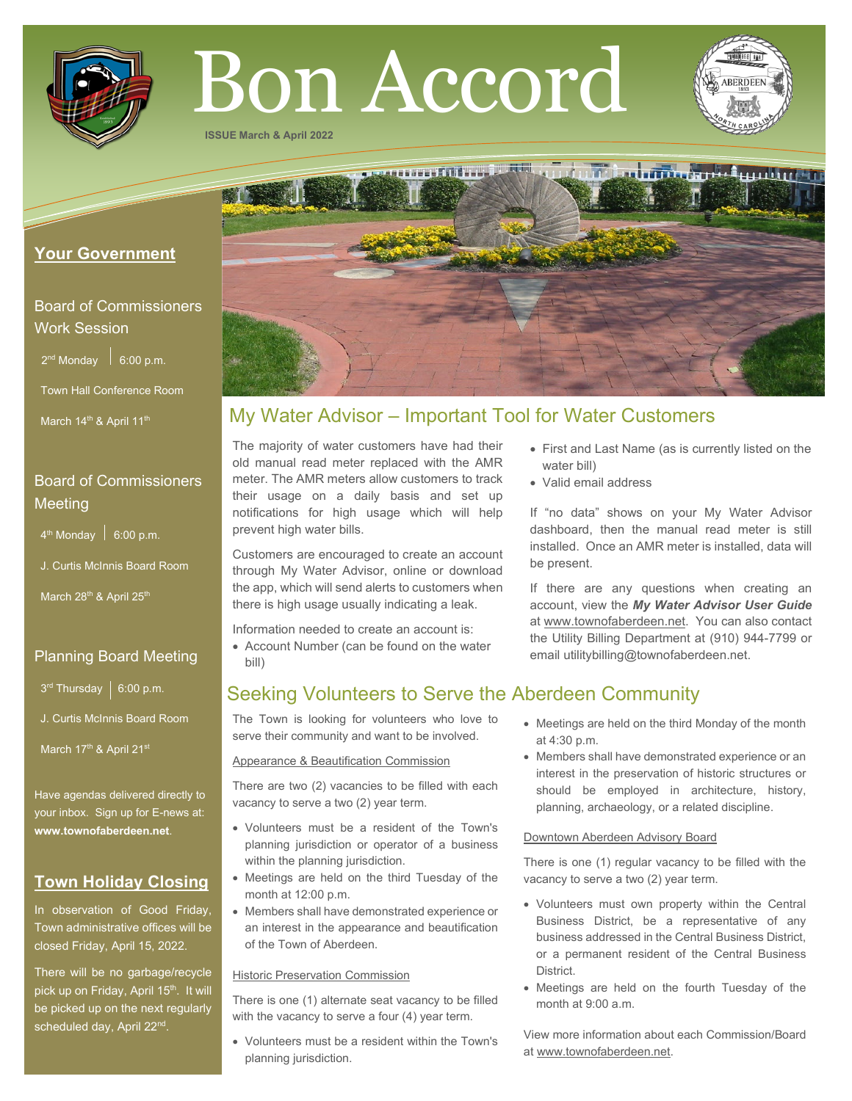

# Bon Accord

**ISSUE March & April 2022**



water bill) • Valid email address

be present.

## **Your Government**

## Board of Commissioners Work Session

 $2^{nd}$  Monday  $\Big|$  6:00 p.m.

Town Hall Conference Room

March 14<sup>th</sup> & April 11<sup>th</sup>

# Board of Commissioners Meeting

 $4<sup>th</sup>$  Monday  $\Big|$  6:00 p.m.

J. Curtis McInnis Board Room

March 28<sup>th</sup> & April 25<sup>th</sup>

## Planning Board Meeting

 $3^{rd}$  Thursday | 6:00 p.m.

J. Curtis McInnis Board Room

March 17<sup>th</sup> & April 21st

Have agendas delivered directly to your inbox. Sign up for E-news at: **[www.townofaberdeen.net](http://www.townofaberdeen.net/)**.

# **Town Holiday Closing**

In observation of Good Friday, Town administrative offices will be closed Friday, April 15, 2022.

There will be no garbage/recycle pick up on Friday, April 15<sup>th</sup>. It will be picked up on the next regularly scheduled day, April 22<sup>nd</sup>.

# My Water Advisor – Important Tool for Water Customers

The majority of water customers have had their old manual read meter replaced with the AMR meter. The AMR meters allow customers to track their usage on a daily basis and set up notifications for high usage which will help prevent high water bills.

Customers are encouraged to create an account through My Water Advisor, online or download the app, which will send alerts to customers when there is high usage usually indicating a leak.

Information needed to create an account is:

• Account Number (can be found on the water bill)

# Seeking Volunteers to Serve the Aberdeen Community

The Town is looking for volunteers who love to serve their community and want to be involved.

Appearance & Beautification Commission

There are two (2) vacancies to be filled with each vacancy to serve a two (2) year term.

- Volunteers must be a resident of the Town's planning jurisdiction or operator of a business within the planning jurisdiction.
- Meetings are held on the third Tuesday of the month at 12:00 p.m.
- Members shall have demonstrated experience or an interest in the appearance and beautification of the Town of Aberdeen.

#### Historic Preservation Commission

There is one (1) alternate seat vacancy to be filled with the vacancy to serve a four (4) year term.

• Volunteers must be a resident within the Town's planning jurisdiction.

• Meetings are held on the third Monday of the month at 4:30 p.m.

email utilitybilling@townofaberdeen.net.

• First and Last Name (as is currently listed on the

If "no data" shows on your My Water Advisor dashboard, then the manual read meter is still installed. Once an AMR meter is installed, data will

If there are any questions when creating an account, view the *My Water Advisor User Guide* at www.townofaberdeen.net. You can also contact the Utility Billing Department at (910) 944-7799 or

• Members shall have demonstrated experience or an interest in the preservation of historic structures or should be employed in architecture, history, planning, archaeology, or a related discipline.

#### Downtown Aberdeen Advisory Board

There is one (1) regular vacancy to be filled with the vacancy to serve a two (2) year term.

- Volunteers must own property within the Central Business District, be a representative of any business addressed in the Central Business District, or a permanent resident of the Central Business District.
- Meetings are held on the fourth Tuesday of the month at 9:00 a.m.

View more information about each Commission/Board at www.townofaberdeen.net.